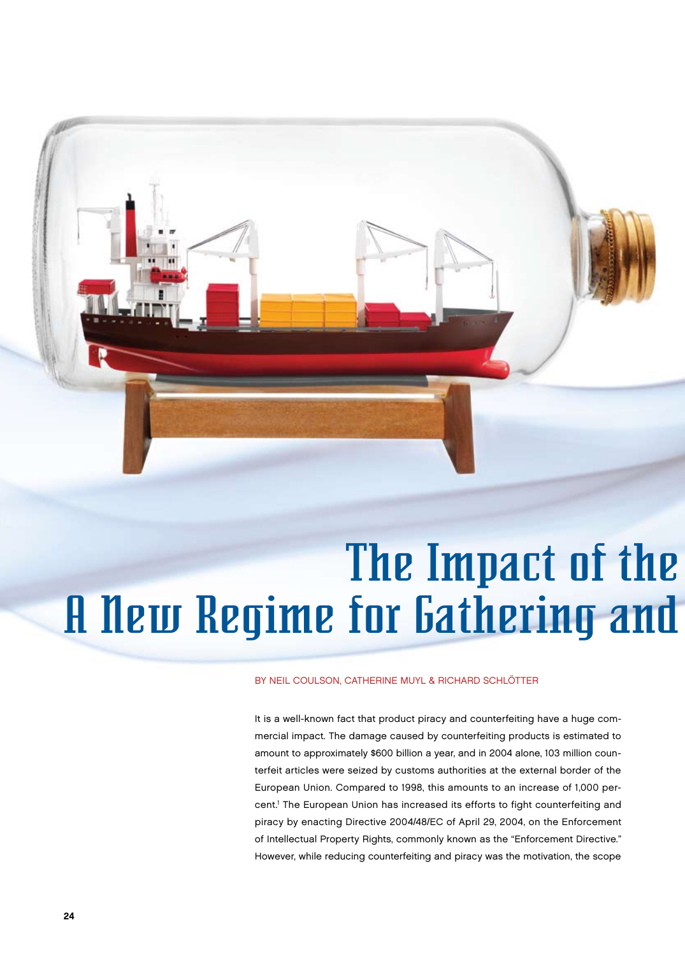

# **A New Regime for Gathering and** The Impact of the

## by Neil Coulson, Catherine Muyl & Richard Schlötter

It is a well-known fact that product piracy and counterfeiting have a huge commercial impact. The damage caused by counterfeiting products is estimated to amount to approximately \$600 billion a year, and in 2004 alone, 103 million counterfeit articles were seized by customs authorities at the external border of the European Union. Compared to 1998, this amounts to an increase of 1,000 percent.<sup>1</sup> The European Union has increased its efforts to fight counterfeiting and piracy by enacting Directive 2004/48/EC of April 29, 2004, on the Enforcement of Intellectual Property Rights, commonly known as the "Enforcement Directive." However, while reducing counterfeiting and piracy was the motivation, the scope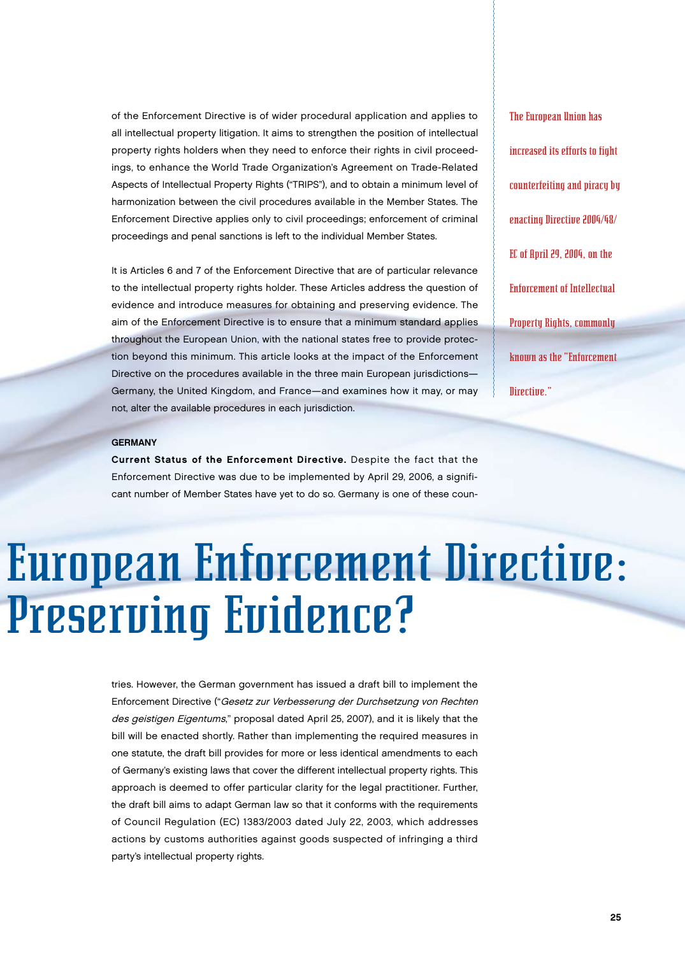of the Enforcement Directive is of wider procedural application and applies to all intellectual property litigation. It aims to strengthen the position of intellectual property rights holders when they need to enforce their rights in civil proceedings, to enhance the World Trade Organization's Agreement on Trade-Related Aspects of Intellectual Property Rights ("TRIPS"), and to obtain a minimum level of harmonization between the civil procedures available in the Member States. The Enforcement Directive applies only to civil proceedings; enforcement of criminal proceedings and penal sanctions is left to the individual Member States.

It is Articles 6 and 7 of the Enforcement Directive that are of particular relevance to the intellectual property rights holder. These Articles address the question of evidence and introduce measures for obtaining and preserving evidence. The aim of the Enforcement Directive is to ensure that a minimum standard applies throughout the European Union, with the national states free to provide protection beyond this minimum. This article looks at the impact of the Enforcement Directive on the procedures available in the three main European jurisdictions— Germany, the United Kingdom, and France—and examines how it may, or may not, alter the available procedures in each jurisdiction.

The European Union has increased its efforts to fight counterfeiting and piracy by enacting Directive 2004/48/ EC of April 29, 2004, on the Enforcement of Intellectual Property Rights, commonly known as the "Enforcement Directive."

#### **GERMANY**

Current Status of the Enforcement Directive. Despite the fact that the Enforcement Directive was due to be implemented by April 29, 2006, a significant number of Member States have yet to do so. Germany is one of these coun-

# Preserving Evidence? European Enforcement Directive:

tries. However, the German government has issued a draft bill to implement the Enforcement Directive ("Gesetz zur Verbesserung der Durchsetzung von Rechten des geistigen Eigentums," proposal dated April 25, 2007), and it is likely that the bill will be enacted shortly. Rather than implementing the required measures in one statute, the draft bill provides for more or less identical amendments to each of Germany's existing laws that cover the different intellectual property rights. This approach is deemed to offer particular clarity for the legal practitioner. Further, the draft bill aims to adapt German law so that it conforms with the requirements of Council Regulation (EC) 1383/2003 dated July 22, 2003, which addresses actions by customs authorities against goods suspected of infringing a third party's intellectual property rights.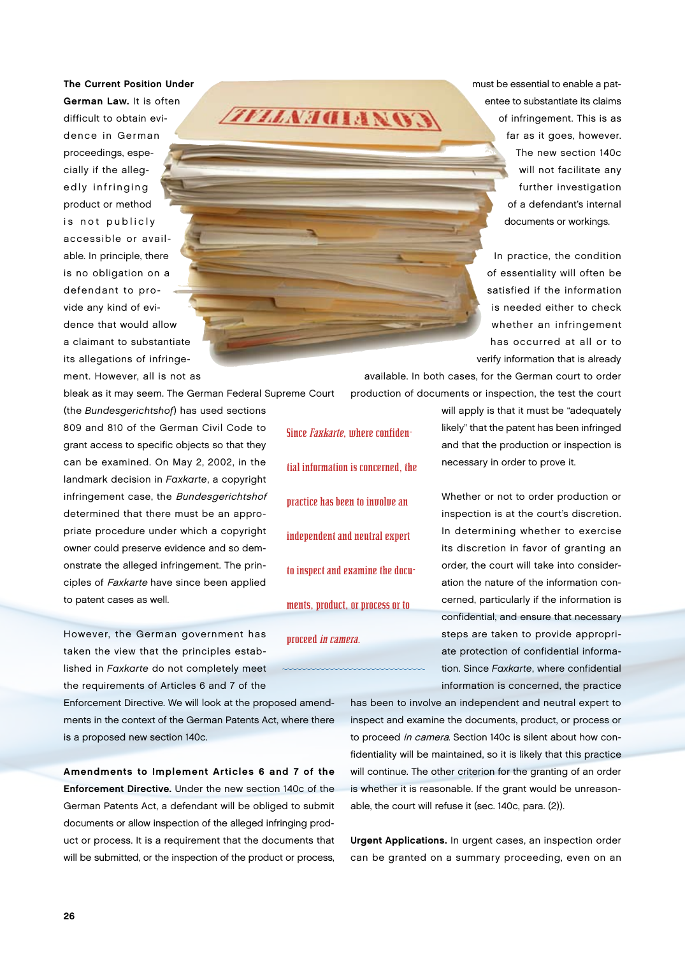The Current Position Under German Law. It is often difficult to obtain evidence in German proceedings, especially if the allegedly infringing product or method is not publicly accessible or available. In principle, there is no obligation on a defendant to provide any kind of evidence that would allow a claimant to substantiate its allegations of infringement. However, all is not as

*ZFLLNAGIANOS* 

must be essential to enable a patentee to substantiate its claims of infringement. This is as far as it goes, however. The new section 140c will not facilitate any further investigation of a defendant's internal documents or workings.

In practice, the condition of essentiality will often be satisfied if the information is needed either to check whether an infringement has occurred at all or to verify information that is already

available. In both cases, for the German court to order production of documents or inspection, the test the court

(the Bundesgerichtshof) has used sections 809 and 810 of the German Civil Code to grant access to specific objects so that they can be examined. On May 2, 2002, in the landmark decision in Faxkarte, a copyright infringement case, the Bundesgerichtshof determined that there must be an appropriate procedure under which a copyright owner could preserve evidence and so demonstrate the alleged infringement. The principles of Faxkarte have since been applied to patent cases as well.

bleak as it may seem. The German Federal Supreme Court

However, the German government has taken the view that the principles established in Faxkarte do not completely meet the requirements of Articles 6 and 7 of the

Enforcement Directive. We will look at the proposed amendments in the context of the German Patents Act, where there is a proposed new section 140c.

Amendments to Implement Articles 6 and 7 of the Enforcement Directive. Under the new section 140c of the German Patents Act, a defendant will be obliged to submit documents or allow inspection of the alleged infringing product or process. It is a requirement that the documents that will be submitted, or the inspection of the product or process,

Since Faxkarte, where confidential information is concerned, the practice has been to involve an independent and neutral expert to inspect and examine the documents, product, or process or to proceed in camera.

will apply is that it must be "adequately likely" that the patent has been infringed and that the production or inspection is necessary in order to prove it.

Whether or not to order production or inspection is at the court's discretion. In determining whether to exercise its discretion in favor of granting an order, the court will take into consideration the nature of the information concerned, particularly if the information is confidential, and ensure that necessary steps are taken to provide appropriate protection of confidential information. Since Faxkarte, where confidential information is concerned, the practice

has been to involve an independent and neutral expert to inspect and examine the documents, product, or process or to proceed in camera. Section 140c is silent about how confidentiality will be maintained, so it is likely that this practice will continue. The other criterion for the granting of an order is whether it is reasonable. If the grant would be unreasonable, the court will refuse it (sec. 140c, para. (2)).

Urgent Applications. In urgent cases, an inspection order can be granted on a summary proceeding, even on an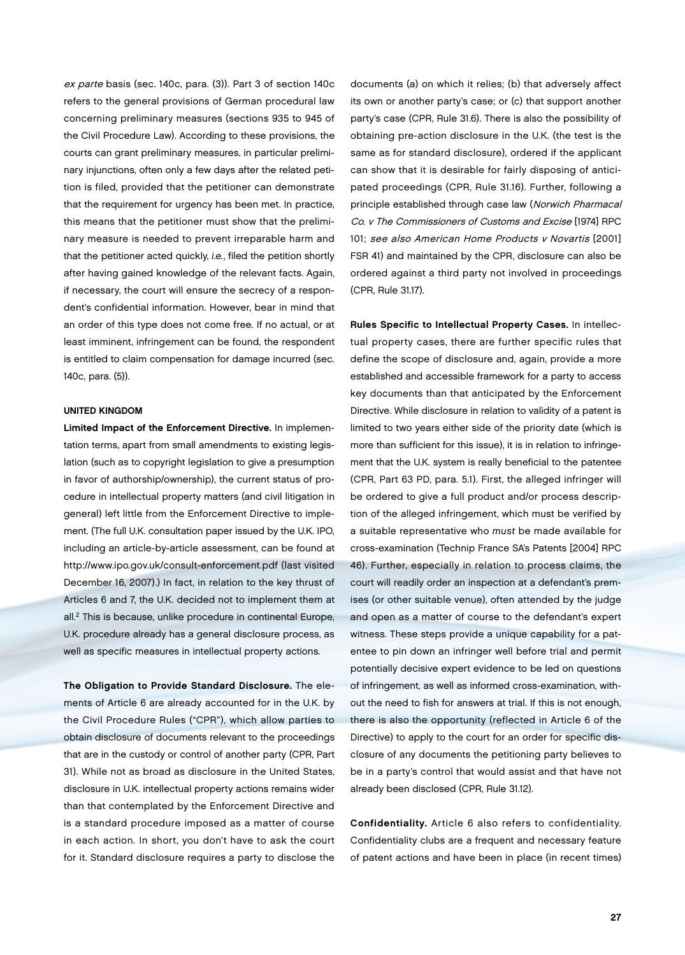ex parte basis (sec. 140c, para. (3)). Part 3 of section 140c refers to the general provisions of German procedural law concerning preliminary measures (sections 935 to 945 of the Civil Procedure Law). According to these provisions, the courts can grant preliminary measures, in particular preliminary injunctions, often only a few days after the related petition is filed, provided that the petitioner can demonstrate that the requirement for urgency has been met. In practice, this means that the petitioner must show that the preliminary measure is needed to prevent irreparable harm and that the petitioner acted quickly, *i.e.*, filed the petition shortly after having gained knowledge of the relevant facts. Again, if necessary, the court will ensure the secrecy of a respondent's confidential information. However, bear in mind that an order of this type does not come free. If no actual, or at least imminent, infringement can be found, the respondent is entitled to claim compensation for damage incurred (sec. 140c, para. (5)).

### United Kingdom

Limited Impact of the Enforcement Directive. In implementation terms, apart from small amendments to existing legislation (such as to copyright legislation to give a presumption in favor of authorship/ownership), the current status of procedure in intellectual property matters (and civil litigation in general) left little from the Enforcement Directive to implement. (The full U.K. consultation paper issued by the U.K. IPO, including an article-by-article assessment, can be found at http://www.ipo.gov.uk/consult-enforcement.pdf (last visited December 16, 2007).) In fact, in relation to the key thrust of Articles 6 and 7, the U.K. decided not to implement them at all.2 This is because, unlike procedure in continental Europe, U.K. procedure already has a general disclosure process, as well as specific measures in intellectual property actions.

The Obligation to Provide Standard Disclosure. The elements of Article 6 are already accounted for in the U.K. by the Civil Procedure Rules ("CPR"), which allow parties to obtain disclosure of documents relevant to the proceedings that are in the custody or control of another party (CPR, Part 31). While not as broad as disclosure in the United States, disclosure in U.K. intellectual property actions remains wider than that contemplated by the Enforcement Directive and is a standard procedure imposed as a matter of course in each action. In short, you don't have to ask the court for it. Standard disclosure requires a party to disclose the

documents (a) on which it relies; (b) that adversely affect its own or another party's case; or (c) that support another party's case (CPR, Rule 31.6). There is also the possibility of obtaining pre-action disclosure in the U.K. (the test is the same as for standard disclosure), ordered if the applicant can show that it is desirable for fairly disposing of anticipated proceedings (CPR, Rule 31.16). Further, following a principle established through case law (Norwich Pharmacal Co. v The Commissioners of Customs and Excise [1974] RPC 101; see also American Home Products v Novartis [2001] FSR 41) and maintained by the CPR, disclosure can also be ordered against a third party not involved in proceedings (CPR, Rule 31.17).

Rules Specific to Intellectual Property Cases. In intellectual property cases, there are further specific rules that define the scope of disclosure and, again, provide a more established and accessible framework for a party to access key documents than that anticipated by the Enforcement Directive. While disclosure in relation to validity of a patent is limited to two years either side of the priority date (which is more than sufficient for this issue), it is in relation to infringement that the U.K. system is really beneficial to the patentee (CPR, Part 63 PD, para. 5.1). First, the alleged infringer will be ordered to give a full product and/or process description of the alleged infringement, which must be verified by a suitable representative who must be made available for cross-examination (Technip France SA's Patents [2004] RPC 46). Further, especially in relation to process claims, the court will readily order an inspection at a defendant's premises (or other suitable venue), often attended by the judge and open as a matter of course to the defendant's expert witness. These steps provide a unique capability for a patentee to pin down an infringer well before trial and permit potentially decisive expert evidence to be led on questions of infringement, as well as informed cross-examination, without the need to fish for answers at trial. If this is not enough, there is also the opportunity (reflected in Article 6 of the Directive) to apply to the court for an order for specific disclosure of any documents the petitioning party believes to be in a party's control that would assist and that have not already been disclosed (CPR, Rule 31.12).

Confidentiality. Article 6 also refers to confidentiality. Confidentiality clubs are a frequent and necessary feature of patent actions and have been in place (in recent times)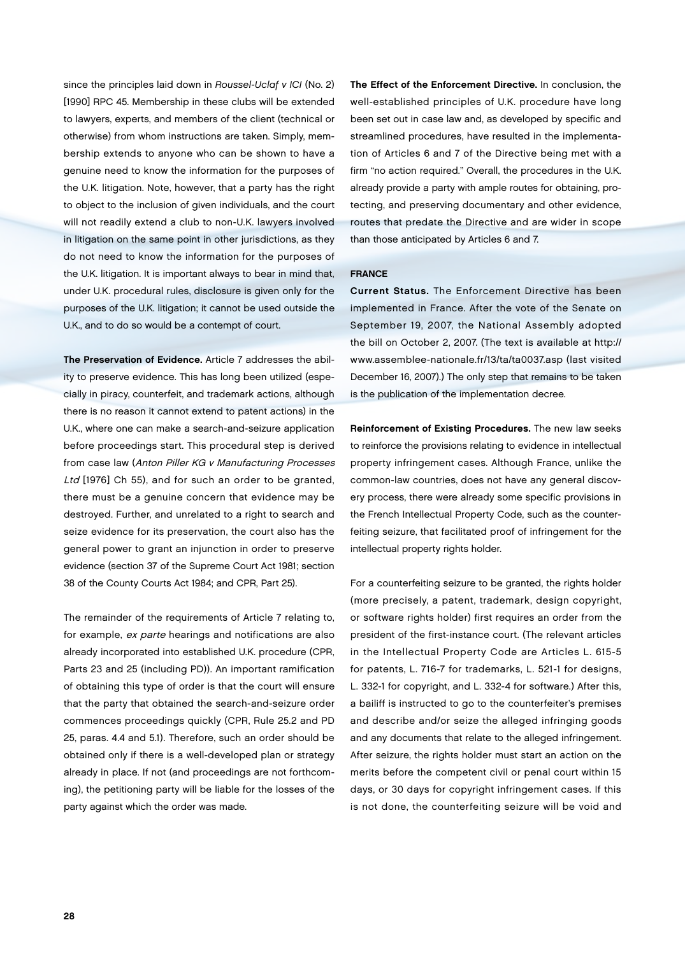since the principles laid down in Roussel-Uclaf v ICI (No. 2) [1990] RPC 45. Membership in these clubs will be extended to lawyers, experts, and members of the client (technical or otherwise) from whom instructions are taken. Simply, membership extends to anyone who can be shown to have a genuine need to know the information for the purposes of the U.K. litigation. Note, however, that a party has the right to object to the inclusion of given individuals, and the court will not readily extend a club to non-U.K. lawyers involved in litigation on the same point in other jurisdictions, as they do not need to know the information for the purposes of the U.K. litigation. It is important always to bear in mind that, under U.K. procedural rules, disclosure is given only for the purposes of the U.K. litigation; it cannot be used outside the U.K., and to do so would be a contempt of court.

The Preservation of Evidence. Article 7 addresses the ability to preserve evidence. This has long been utilized (especially in piracy, counterfeit, and trademark actions, although there is no reason it cannot extend to patent actions) in the U.K., where one can make a search-and-seizure application before proceedings start. This procedural step is derived from case law (Anton Piller KG v Manufacturing Processes Ltd [1976] Ch 55), and for such an order to be granted, there must be a genuine concern that evidence may be destroyed. Further, and unrelated to a right to search and seize evidence for its preservation, the court also has the general power to grant an injunction in order to preserve evidence (section 37 of the Supreme Court Act 1981; section 38 of the County Courts Act 1984; and CPR, Part 25).

The remainder of the requirements of Article 7 relating to, for example, ex parte hearings and notifications are also already incorporated into established U.K. procedure (CPR, Parts 23 and 25 (including PD)). An important ramification of obtaining this type of order is that the court will ensure that the party that obtained the search-and-seizure order commences proceedings quickly (CPR, Rule 25.2 and PD 25, paras. 4.4 and 5.1). Therefore, such an order should be obtained only if there is a well-developed plan or strategy already in place. If not (and proceedings are not forthcoming), the petitioning party will be liable for the losses of the party against which the order was made.

The Effect of the Enforcement Directive. In conclusion, the well-established principles of U.K. procedure have long been set out in case law and, as developed by specific and streamlined procedures, have resulted in the implementation of Articles 6 and 7 of the Directive being met with a firm "no action required." Overall, the procedures in the U.K. already provide a party with ample routes for obtaining, protecting, and preserving documentary and other evidence, routes that predate the Directive and are wider in scope than those anticipated by Articles 6 and 7.

#### **FRANCE**

Current Status. The Enforcement Directive has been implemented in France. After the vote of the Senate on September 19, 2007, the National Assembly adopted the bill on October 2, 2007. (The text is available at http:// www.assemblee-nationale.fr/13/ta/ta0037.asp (last visited December 16, 2007).) The only step that remains to be taken is the publication of the implementation decree.

Reinforcement of Existing Procedures. The new law seeks to reinforce the provisions relating to evidence in intellectual property infringement cases. Although France, unlike the common-law countries, does not have any general discovery process, there were already some specific provisions in the French Intellectual Property Code, such as the counterfeiting seizure, that facilitated proof of infringement for the intellectual property rights holder.

For a counterfeiting seizure to be granted, the rights holder (more precisely, a patent, trademark, design copyright, or software rights holder) first requires an order from the president of the first-instance court. (The relevant articles in the Intellectual Property Code are Articles L. 615-5 for patents, L. 716-7 for trademarks, L. 521-1 for designs, L. 332-1 for copyright, and L. 332-4 for software.) After this, a bailiff is instructed to go to the counterfeiter's premises and describe and/or seize the alleged infringing goods and any documents that relate to the alleged infringement. After seizure, the rights holder must start an action on the merits before the competent civil or penal court within 15 days, or 30 days for copyright infringement cases. If this is not done, the counterfeiting seizure will be void and